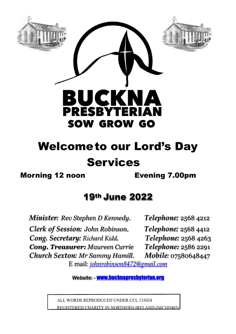

# Welcometo our Lord's Day Services

Morning 12 noon Evening 7.00pm

# 19th June 2022

 *Minister: Rev Stephen D Kennedy. Telephone:* 2568 4212  *Clerk of Session: John Robinson*. *Telephone:* 2568 4412 *Cong. Secretary: Richard Kidd. Telephone:* 2568 4263 *Cong. Treasurer: Maureen Currie Telephone:* 2586 2291  *Church Sexton: Mr Sammy Hamill. Mobile:* 07580648447

E mail: *[johnrobinson8472@gmail.com](mailto:johnrobinson8472@gmail.com)*

*Website*: - [www.bucknapresbyterian.org](http://www.bucknapresbyterian.org)

 ALL WORDS REPRODUCED UNDER CCL 133024 REGISTERED CHARITY IN NORTHERN IRELAND (NIC105403)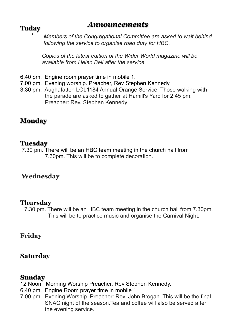## *Announcements* **Today**

 \* *Members of the Congregational Committee are asked to wait behind following the service to organise road duty for HBC.*

 *Copies of the latest edition of the Wider World magazine will be available from Helen Bell after the service.*

- 6.40 pm. Engine room prayer time in mobile 1.
- 7.00 pm. Evening worship. Preacher, Rev Stephen Kennedy.
- 3.30 pm. Aughafatten LOL1184 Annual Orange Service. Those walking with the parade are asked to gather at Hamill's Yard for 2.45 pm. Preacher: Rev. Stephen Kennedy

### **Monday**

#### **Tuesday**

 7.30 pm. There will be an HBC team meeting in the church hall from 7.30pm. This will be to complete decoration.

#### **Wednesday**

#### **Thursday**

 7.30 pm. There will be an HBC team meeting in the church hall from 7.30pm. This will be to practice music and organise the Carnival Night.

#### **Friday**

#### **Saturday**

#### **Sunday**

12 Noon. Morning Worship Preacher, Rev Stephen Kennedy.

- 6.40 pm. Engine Room prayer time in mobile 1.
- 7.00 pm. Evening Worship. Preacher: Rev. John Brogan. This will be the final SNAC night of the season.Tea and coffee will also be served after the evening service.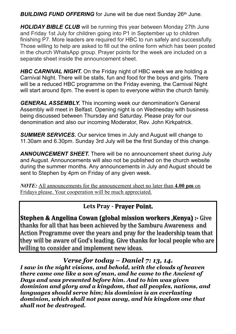**BUILDING FUND OFFERING** for June will be due next Sunday 26<sup>th</sup> June.

*HOLIDAY BIBLE CLUB* will be running this year between Monday 27th June and Friday 1st July for children going into P1 in September up to children finishing P7. More leaders are required for HBC to run safely and successfully. Those willing to help are asked to fill out the online form which has been posted in the church WhatsApp group. Prayer points for the week are included on a separate sheet inside the announcement sheet.

*HBC CARNIVAL NIGHT.* On the Friday night of HBC week we are holding a Carnival Night. There will be stalls, fun and food for the boys and girls. There will be a reduced HBC programme on the Friday evening, the Carnival Night will start around 8pm. The event is open to everyone within the church family.

*GENERAL ASSEMBLY.* This incoming week our denomination's General Assembly will meet in Belfast. Opening night is on Wednesday with business being discussed between Thursday and Saturday. Please pray for our denomination and also our incoming Moderator, Rev. John Kirkpatrick.

*SUMMER SERVICES.* Our service times in July and August will change to 11.30am and 6.30pm. Sunday 3rd July will be the first Sunday of this change.

*ANNOUNCEMENT SHEET.* There will be no announcement sheet during July and August. Announcements will also not be published on the church website during the summer months. Any announcements in July and August should be sent to Stephen by 4pm on Friday of any given week.

*NOTE:* All announcements for the announcement sheet no later than **4.00 pm** on Fridays please. Your cooperation will be much appreciated.

Lets Pray - Prayer Point.

**Stephen & Angelina Cowan (global mission workers , Kenya) :- Give** thanks for all that has been achieved by the Samburu Awareness and Action Programme over the years and pray for the leadership team that they will be aware of God's leading. Give thanks for local people who are willing to consider and implement new ideas.

*Verse for today – Daniel 7: 13, 14.*

*I saw in the night visions, and behold, with the clouds of heaven there came one like a son of man, and he came to the Ancient of Days and was presented before him. And to him was given dominion and glory and a kingdom, that all peoples, nations, and languages should serve him; his dominion is an everlasting dominion, which shall not pass away, and his kingdom one that shall not be destroyed.*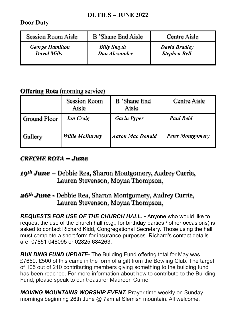#### **DUTIES – JUNE 2022**

#### **Door Duty**

| <b>Session Room Aisle</b> | <b>B</b> 'Shane End Aisle | <b>Centre Aisle</b>  |
|---------------------------|---------------------------|----------------------|
| <b>George Hamilton</b>    | <b>Billy Smyth</b>        | <b>David Bradley</b> |
| <b>David Mills</b>        | <b>Dan Alexander</b>      | <b>Stephen Bell</b>  |

#### **Offering Rota** (morning service)

|                     | <b>Session Room</b><br>Aisle | <b>B</b> 'Shane End<br>Aisle | <b>Centre Aisle</b>     |
|---------------------|------------------------------|------------------------------|-------------------------|
| <b>Ground Floor</b> | <b>Ian Craig</b>             | <b>Gavin Pyper</b>           | <b>Paul Reid</b>        |
| Gallery             | <b>Willie McBurney</b>       | <b>Aaron Mac Donald</b>      | <b>Peter Montgomery</b> |

#### *CRECHE ROTA – June*

#### *19th June –* Debbie Rea, Sharon Montgomery, Audrey Currie, Lauren Stevenson, Moyna Thompson,

### *26th June -* Debbie Rea, Sharon Montgomery, Audrey Currie, Lauren Stevenson, Moyna Thompson,

*REQUESTS FOR USE OF THE CHURCH HALL. -* Anyone who would like to request the use of the church hall (e.g., for birthday parties / other occasions) is asked to contact Richard Kidd, Congregational Secretary. Those using the hall must complete a short form for insurance purposes. Richard's contact details are: 07851 048095 or 02825 684263.

**BUILDING FUND UPDATE-** The Building Fund offering total for May was £7669. £500 of this came in the form of a gift from the Bowling Club. The target of 105 out of 210 contributing members giving something to the building fund has been reached. For more information about how to contribute to the Building Fund, please speak to our treasurer Maureen Currie.

**MOVING MOUNTAINS WORSHIP EVENT.** Prayer time weekly on Sunday mornings beginning 26th June @ 7am at Slemish mountain. All welcome.